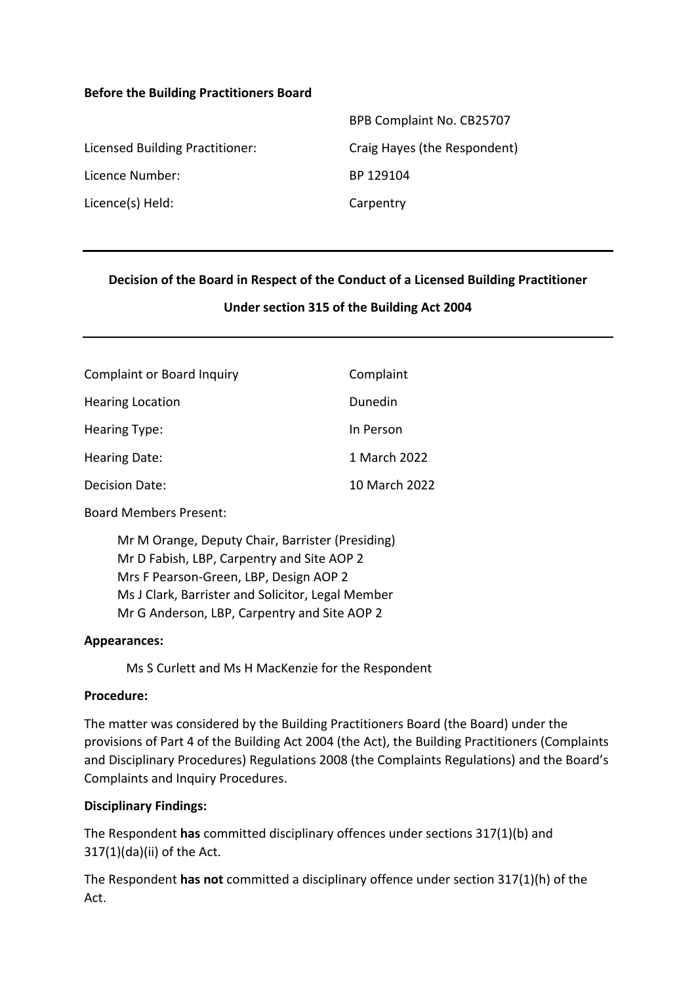#### **Before the Building Practitioners Board**

|                                 | BPB Complaint No. CB25707    |
|---------------------------------|------------------------------|
| Licensed Building Practitioner: | Craig Hayes (the Respondent) |
| Licence Number:                 | BP 129104                    |
| Licence(s) Held:                | Carpentry                    |
|                                 |                              |

### **Decision of the Board in Respect of the Conduct of a Licensed Building Practitioner**

#### **Under section 315 of the Building Act 2004**

| <b>Complaint or Board Inquiry</b> | Complaint     |
|-----------------------------------|---------------|
| <b>Hearing Location</b>           | Dunedin       |
| <b>Hearing Type:</b>              | In Person     |
| <b>Hearing Date:</b>              | 1 March 2022  |
| <b>Decision Date:</b>             | 10 March 2022 |

Board Members Present:

Mr M Orange, Deputy Chair, Barrister (Presiding) Mr D Fabish, LBP, Carpentry and Site AOP 2 Mrs F Pearson-Green, LBP, Design AOP 2 Ms J Clark, Barrister and Solicitor, Legal Member Mr G Anderson, LBP, Carpentry and Site AOP 2

#### **Appearances:**

Ms S Curlett and Ms H MacKenzie for the Respondent

### **Procedure:**

The matter was considered by the Building Practitioners Board (the Board) under the provisions of Part 4 of the Building Act 2004 (the Act), the Building Practitioners (Complaints and Disciplinary Procedures) Regulations 2008 (the Complaints Regulations) and the Board's Complaints and Inquiry Procedures.

#### **Disciplinary Findings:**

The Respondent **has** committed disciplinary offences under sections 317(1)(b) and 317(1)(da)(ii) of the Act.

The Respondent **has not** committed a disciplinary offence under section 317(1)(h) of the Act.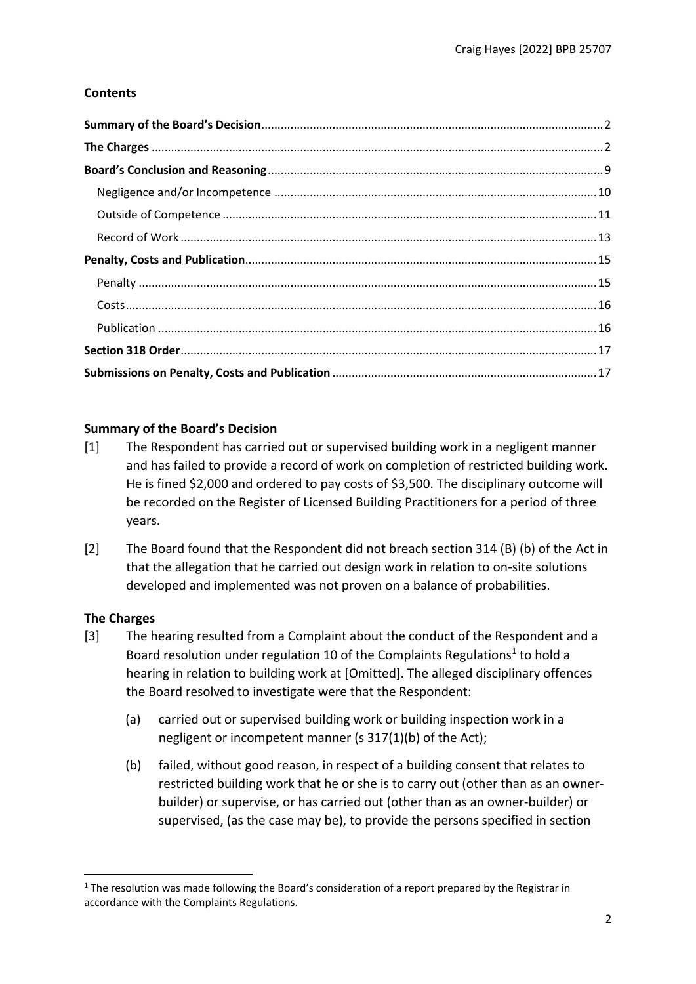# **Contents**

# <span id="page-1-0"></span>**Summary of the Board's Decision**

- [1] The Respondent has carried out or supervised building work in a negligent manner and has failed to provide a record of work on completion of restricted building work. He is fined \$2,000 and ordered to pay costs of \$3,500. The disciplinary outcome will be recorded on the Register of Licensed Building Practitioners for a period of three years.
- [2] The Board found that the Respondent did not breach section 314 (B) (b) of the Act in that the allegation that he carried out design work in relation to on-site solutions developed and implemented was not proven on a balance of probabilities.

# <span id="page-1-1"></span>**The Charges**

- [3] The hearing resulted from a Complaint about the conduct of the Respondent and a Board resolution under regulation 10 of the Complaints Regulations<sup>1</sup> to hold a hearing in relation to building work at [Omitted]. The alleged disciplinary offences the Board resolved to investigate were that the Respondent:
	- (a) carried out or supervised building work or building inspection work in a negligent or incompetent manner (s 317(1)(b) of the Act);
	- (b) failed, without good reason, in respect of a building consent that relates to restricted building work that he or she is to carry out (other than as an ownerbuilder) or supervise, or has carried out (other than as an owner-builder) or supervised, (as the case may be), to provide the persons specified in section

 $1$  The resolution was made following the Board's consideration of a report prepared by the Registrar in accordance with the Complaints Regulations.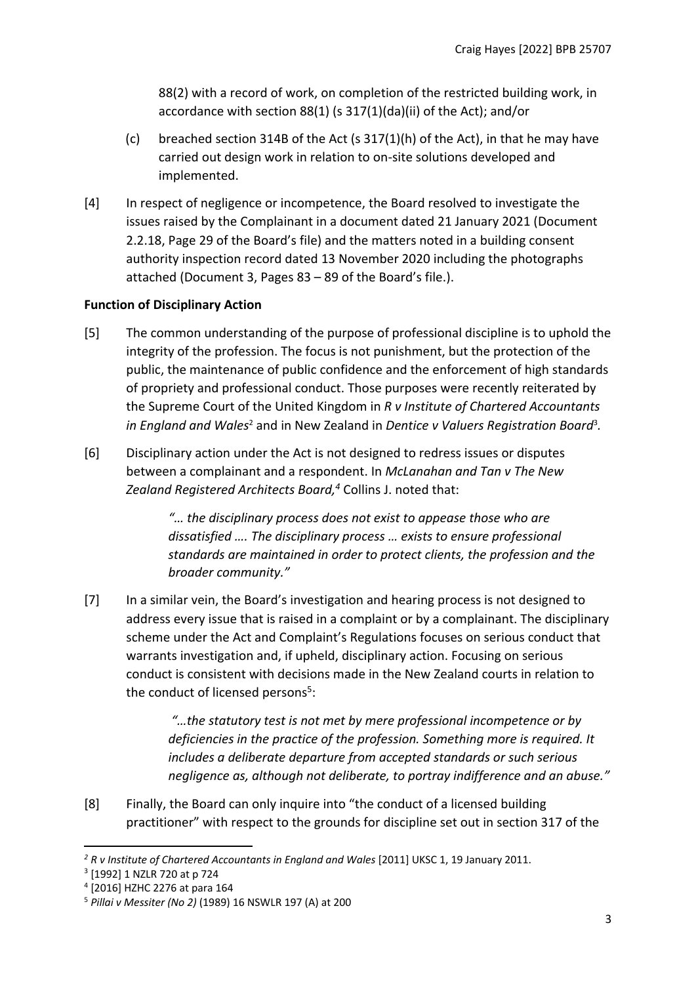88(2) with a record of work, on completion of the restricted building work, in accordance with section 88(1) (s 317(1)(da)(ii) of the Act); and/or

- (c) breached section 314B of the Act (s 317(1)(h) of the Act), in that he may have carried out design work in relation to on-site solutions developed and implemented.
- [4] In respect of negligence or incompetence, the Board resolved to investigate the issues raised by the Complainant in a document dated 21 January 2021 (Document 2.2.18, Page 29 of the Board's file) and the matters noted in a building consent authority inspection record dated 13 November 2020 including the photographs attached (Document 3, Pages 83 – 89 of the Board's file.).

### **Function of Disciplinary Action**

- [5] The common understanding of the purpose of professional discipline is to uphold the integrity of the profession. The focus is not punishment, but the protection of the public, the maintenance of public confidence and the enforcement of high standards of propriety and professional conduct. Those purposes were recently reiterated by the Supreme Court of the United Kingdom in *R v Institute of Chartered Accountants in England and Wales<sup>2</sup>* and in New Zealand in *Dentice v Valuers Registration Board*<sup>3</sup>.
- [6] Disciplinary action under the Act is not designed to redress issues or disputes between a complainant and a respondent. In *McLanahan and Tan v The New Zealand Registered Architects Board,<sup>4</sup>* Collins J. noted that:

*"… the disciplinary process does not exist to appease those who are dissatisfied …. The disciplinary process … exists to ensure professional standards are maintained in order to protect clients, the profession and the broader community."*

[7] In a similar vein, the Board's investigation and hearing process is not designed to address every issue that is raised in a complaint or by a complainant. The disciplinary scheme under the Act and Complaint's Regulations focuses on serious conduct that warrants investigation and, if upheld, disciplinary action. Focusing on serious conduct is consistent with decisions made in the New Zealand courts in relation to the conduct of licensed persons<sup>5</sup>:

> *"…the statutory test is not met by mere professional incompetence or by deficiencies in the practice of the profession. Something more is required. It includes a deliberate departure from accepted standards or such serious negligence as, although not deliberate, to portray indifference and an abuse."*

[8] Finally, the Board can only inquire into "the conduct of a licensed building practitioner" with respect to the grounds for discipline set out in section 317 of the

*<sup>2</sup> R v Institute of Chartered Accountants in England and Wales* [2011] UKSC 1, 19 January 2011.

<sup>3</sup> [1992] 1 NZLR 720 at p 724

<sup>4</sup> [2016] HZHC 2276 at para 164

<sup>5</sup> *Pillai v Messiter (No 2)* (1989) 16 NSWLR 197 (A) at 200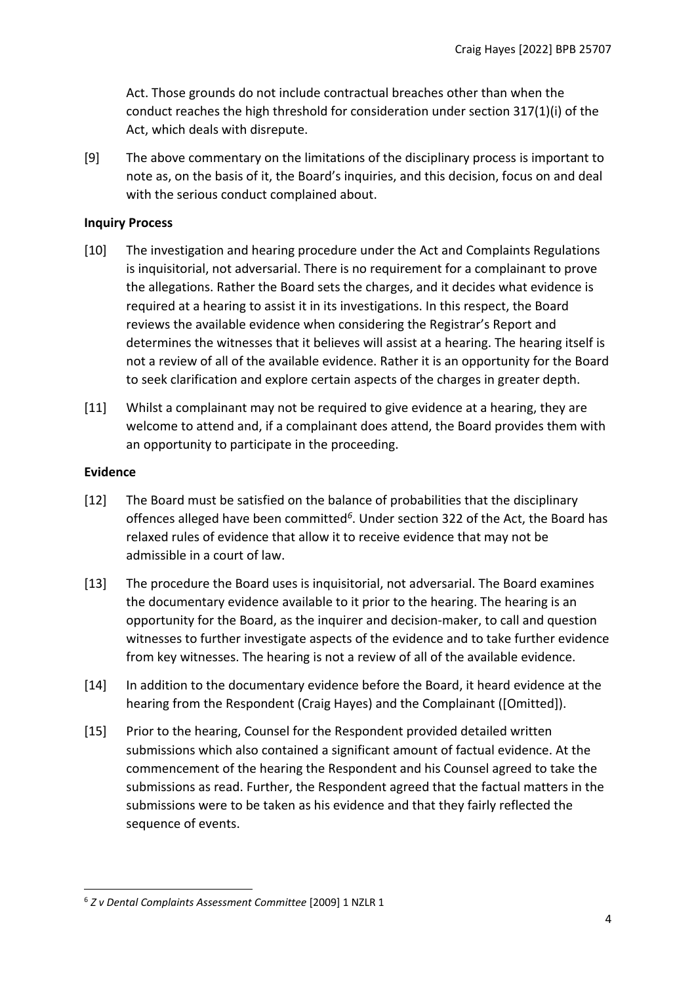Act. Those grounds do not include contractual breaches other than when the conduct reaches the high threshold for consideration under section 317(1)(i) of the Act, which deals with disrepute.

[9] The above commentary on the limitations of the disciplinary process is important to note as, on the basis of it, the Board's inquiries, and this decision, focus on and deal with the serious conduct complained about.

#### **Inquiry Process**

- [10] The investigation and hearing procedure under the Act and Complaints Regulations is inquisitorial, not adversarial. There is no requirement for a complainant to prove the allegations. Rather the Board sets the charges, and it decides what evidence is required at a hearing to assist it in its investigations. In this respect, the Board reviews the available evidence when considering the Registrar's Report and determines the witnesses that it believes will assist at a hearing. The hearing itself is not a review of all of the available evidence. Rather it is an opportunity for the Board to seek clarification and explore certain aspects of the charges in greater depth.
- [11] Whilst a complainant may not be required to give evidence at a hearing, they are welcome to attend and, if a complainant does attend, the Board provides them with an opportunity to participate in the proceeding.

#### **Evidence**

- [12] The Board must be satisfied on the balance of probabilities that the disciplinary offences alleged have been committed*<sup>6</sup>* . Under section 322 of the Act, the Board has relaxed rules of evidence that allow it to receive evidence that may not be admissible in a court of law.
- [13] The procedure the Board uses is inquisitorial, not adversarial. The Board examines the documentary evidence available to it prior to the hearing. The hearing is an opportunity for the Board, as the inquirer and decision-maker, to call and question witnesses to further investigate aspects of the evidence and to take further evidence from key witnesses. The hearing is not a review of all of the available evidence.
- [14] In addition to the documentary evidence before the Board, it heard evidence at the hearing from the Respondent (Craig Hayes) and the Complainant ([Omitted]).
- [15] Prior to the hearing, Counsel for the Respondent provided detailed written submissions which also contained a significant amount of factual evidence. At the commencement of the hearing the Respondent and his Counsel agreed to take the submissions as read. Further, the Respondent agreed that the factual matters in the submissions were to be taken as his evidence and that they fairly reflected the sequence of events.

<sup>6</sup> *Z v Dental Complaints Assessment Committee* [2009] 1 NZLR 1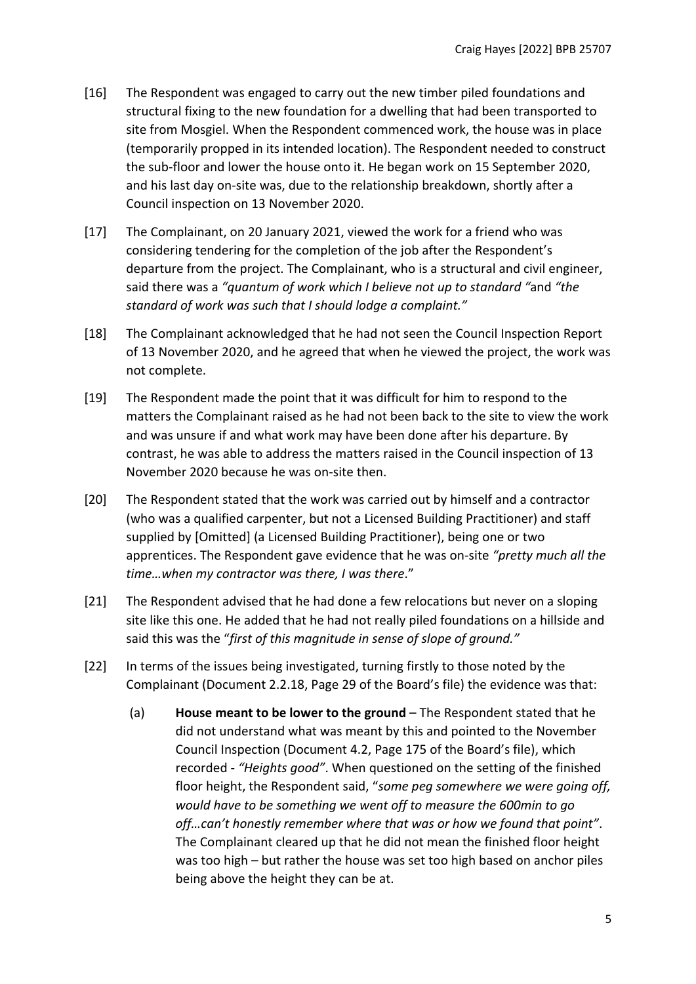- [16] The Respondent was engaged to carry out the new timber piled foundations and structural fixing to the new foundation for a dwelling that had been transported to site from Mosgiel. When the Respondent commenced work, the house was in place (temporarily propped in its intended location). The Respondent needed to construct the sub-floor and lower the house onto it. He began work on 15 September 2020, and his last day on-site was, due to the relationship breakdown, shortly after a Council inspection on 13 November 2020.
- [17] The Complainant, on 20 January 2021, viewed the work for a friend who was considering tendering for the completion of the job after the Respondent's departure from the project. The Complainant, who is a structural and civil engineer, said there was a *"quantum of work which I believe not up to standard "*and *"the standard of work was such that I should lodge a complaint."*
- [18] The Complainant acknowledged that he had not seen the Council Inspection Report of 13 November 2020, and he agreed that when he viewed the project, the work was not complete.
- [19] The Respondent made the point that it was difficult for him to respond to the matters the Complainant raised as he had not been back to the site to view the work and was unsure if and what work may have been done after his departure. By contrast, he was able to address the matters raised in the Council inspection of 13 November 2020 because he was on-site then.
- [20] The Respondent stated that the work was carried out by himself and a contractor (who was a qualified carpenter, but not a Licensed Building Practitioner) and staff supplied by [Omitted] (a Licensed Building Practitioner), being one or two apprentices. The Respondent gave evidence that he was on-site *"pretty much all the time…when my contractor was there, I was there*."
- [21] The Respondent advised that he had done a few relocations but never on a sloping site like this one. He added that he had not really piled foundations on a hillside and said this was the "*first of this magnitude in sense of slope of ground."*
- [22] In terms of the issues being investigated, turning firstly to those noted by the Complainant (Document 2.2.18, Page 29 of the Board's file) the evidence was that:
	- (a) **House meant to be lower to the ground** The Respondent stated that he did not understand what was meant by this and pointed to the November Council Inspection (Document 4.2, Page 175 of the Board's file), which recorded - *"Heights good"*. When questioned on the setting of the finished floor height, the Respondent said, "*some peg somewhere we were going off, would have to be something we went off to measure the 600min to go off…can't honestly remember where that was or how we found that point"*. The Complainant cleared up that he did not mean the finished floor height was too high – but rather the house was set too high based on anchor piles being above the height they can be at.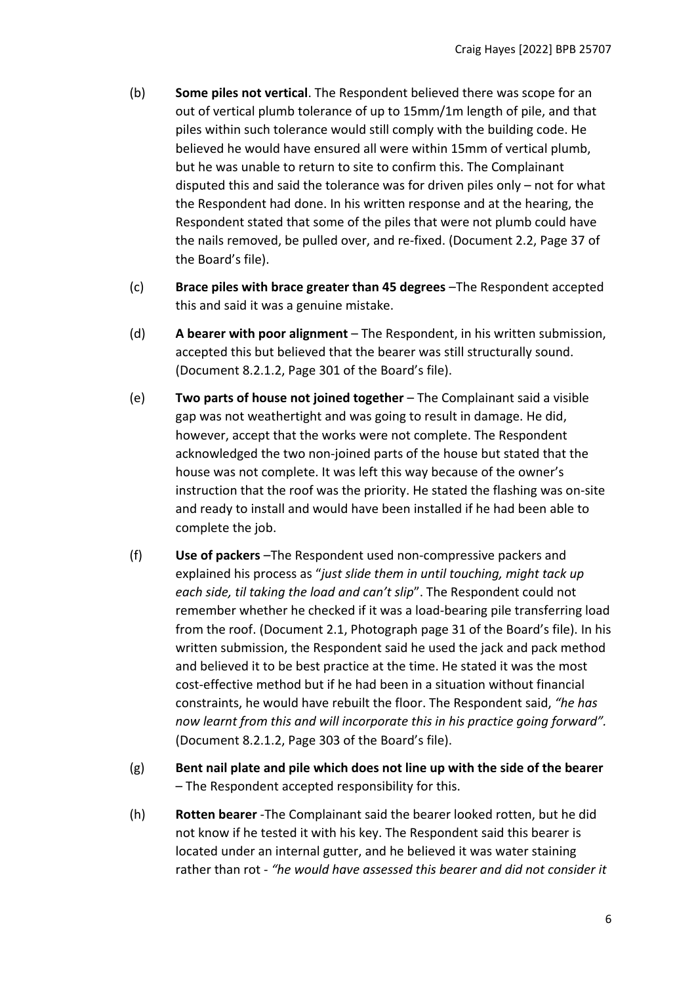- (b) **Some piles not vertical**. The Respondent believed there was scope for an out of vertical plumb tolerance of up to 15mm/1m length of pile, and that piles within such tolerance would still comply with the building code. He believed he would have ensured all were within 15mm of vertical plumb, but he was unable to return to site to confirm this. The Complainant disputed this and said the tolerance was for driven piles only – not for what the Respondent had done. In his written response and at the hearing, the Respondent stated that some of the piles that were not plumb could have the nails removed, be pulled over, and re-fixed. (Document 2.2, Page 37 of the Board's file).
- (c) **Brace piles with brace greater than 45 degrees** –The Respondent accepted this and said it was a genuine mistake.
- (d) **A bearer with poor alignment** The Respondent, in his written submission, accepted this but believed that the bearer was still structurally sound. (Document 8.2.1.2, Page 301 of the Board's file).
- (e) **Two parts of house not joined together** The Complainant said a visible gap was not weathertight and was going to result in damage. He did, however, accept that the works were not complete. The Respondent acknowledged the two non-joined parts of the house but stated that the house was not complete. It was left this way because of the owner's instruction that the roof was the priority. He stated the flashing was on-site and ready to install and would have been installed if he had been able to complete the job.
- (f) **Use of packers** –The Respondent used non-compressive packers and explained his process as "*just slide them in until touching, might tack up each side, til taking the load and can't slip*". The Respondent could not remember whether he checked if it was a load-bearing pile transferring load from the roof. (Document 2.1, Photograph page 31 of the Board's file). In his written submission, the Respondent said he used the jack and pack method and believed it to be best practice at the time. He stated it was the most cost-effective method but if he had been in a situation without financial constraints, he would have rebuilt the floor. The Respondent said, *"he has now learnt from this and will incorporate this in his practice going forward".* (Document 8.2.1.2, Page 303 of the Board's file).
- (g) **Bent nail plate and pile which does not line up with the side of the bearer** – The Respondent accepted responsibility for this.
- (h) **Rotten bearer** -The Complainant said the bearer looked rotten, but he did not know if he tested it with his key. The Respondent said this bearer is located under an internal gutter, and he believed it was water staining rather than rot - *"he would have assessed this bearer and did not consider it*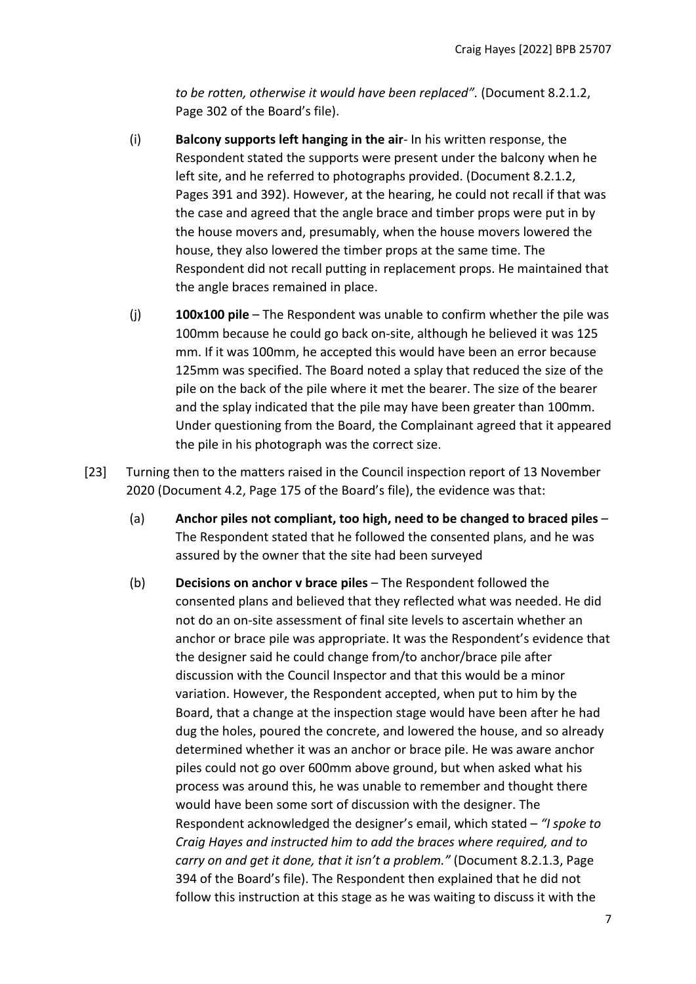*to be rotten, otherwise it would have been replaced".* (Document 8.2.1.2, Page 302 of the Board's file).

- (i) **Balcony supports left hanging in the air** In his written response, the Respondent stated the supports were present under the balcony when he left site, and he referred to photographs provided. (Document 8.2.1.2, Pages 391 and 392). However, at the hearing, he could not recall if that was the case and agreed that the angle brace and timber props were put in by the house movers and, presumably, when the house movers lowered the house, they also lowered the timber props at the same time. The Respondent did not recall putting in replacement props. He maintained that the angle braces remained in place.
- (j) **100x100 pile** The Respondent was unable to confirm whether the pile was 100mm because he could go back on-site, although he believed it was 125 mm. If it was 100mm, he accepted this would have been an error because 125mm was specified. The Board noted a splay that reduced the size of the pile on the back of the pile where it met the bearer. The size of the bearer and the splay indicated that the pile may have been greater than 100mm. Under questioning from the Board, the Complainant agreed that it appeared the pile in his photograph was the correct size.
- [23] Turning then to the matters raised in the Council inspection report of 13 November 2020 (Document 4.2, Page 175 of the Board's file), the evidence was that:
	- (a) **Anchor piles not compliant, too high, need to be changed to braced piles** The Respondent stated that he followed the consented plans, and he was assured by the owner that the site had been surveyed
	- (b) **Decisions on anchor v brace piles** The Respondent followed the consented plans and believed that they reflected what was needed. He did not do an on-site assessment of final site levels to ascertain whether an anchor or brace pile was appropriate. It was the Respondent's evidence that the designer said he could change from/to anchor/brace pile after discussion with the Council Inspector and that this would be a minor variation. However, the Respondent accepted, when put to him by the Board, that a change at the inspection stage would have been after he had dug the holes, poured the concrete, and lowered the house, and so already determined whether it was an anchor or brace pile. He was aware anchor piles could not go over 600mm above ground, but when asked what his process was around this, he was unable to remember and thought there would have been some sort of discussion with the designer. The Respondent acknowledged the designer's email, which stated – *"I spoke to Craig Hayes and instructed him to add the braces where required, and to carry on and get it done, that it isn't a problem."* (Document 8.2.1.3, Page 394 of the Board's file). The Respondent then explained that he did not follow this instruction at this stage as he was waiting to discuss it with the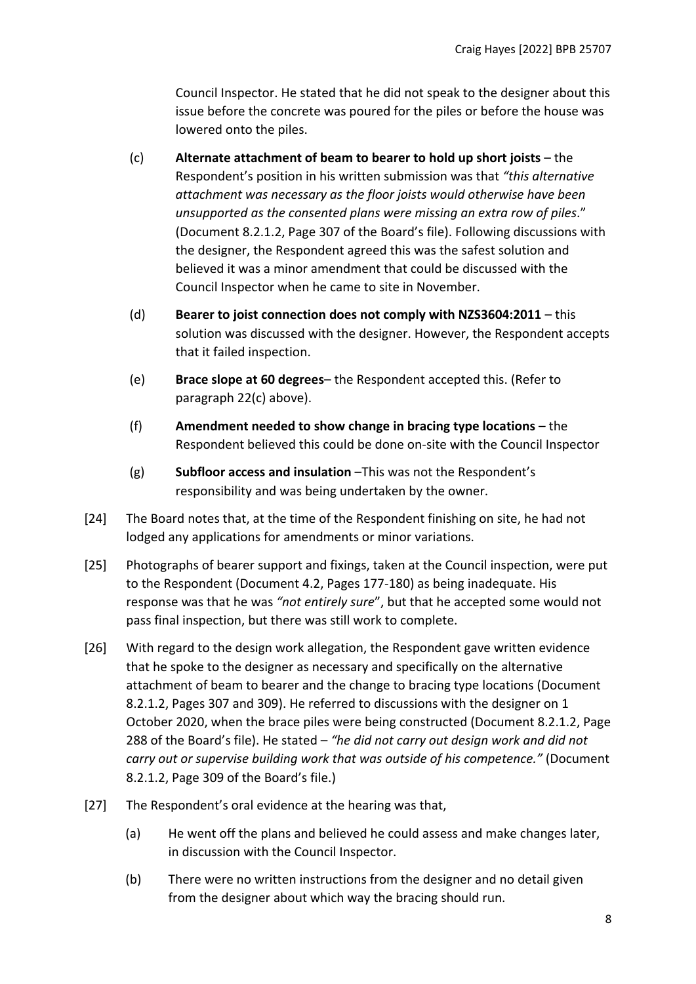Council Inspector. He stated that he did not speak to the designer about this issue before the concrete was poured for the piles or before the house was lowered onto the piles.

- (c) **Alternate attachment of beam to bearer to hold up short joists** the Respondent's position in his written submission was that *"this alternative attachment was necessary as the floor joists would otherwise have been unsupported as the consented plans were missing an extra row of piles*." (Document 8.2.1.2, Page 307 of the Board's file). Following discussions with the designer, the Respondent agreed this was the safest solution and believed it was a minor amendment that could be discussed with the Council Inspector when he came to site in November.
- (d) **Bearer to joist connection does not comply with NZS3604:2011** this solution was discussed with the designer. However, the Respondent accepts that it failed inspection.
- (e) **Brace slope at 60 degrees** the Respondent accepted this. (Refer to paragraph 22(c) above).
- (f) **Amendment needed to show change in bracing type locations –** the Respondent believed this could be done on-site with the Council Inspector
- (g) **Subfloor access and insulation** –This was not the Respondent's responsibility and was being undertaken by the owner.
- [24] The Board notes that, at the time of the Respondent finishing on site, he had not lodged any applications for amendments or minor variations.
- [25] Photographs of bearer support and fixings, taken at the Council inspection, were put to the Respondent (Document 4.2, Pages 177-180) as being inadequate. His response was that he was *"not entirely sure*", but that he accepted some would not pass final inspection, but there was still work to complete.
- [26] With regard to the design work allegation, the Respondent gave written evidence that he spoke to the designer as necessary and specifically on the alternative attachment of beam to bearer and the change to bracing type locations (Document 8.2.1.2, Pages 307 and 309). He referred to discussions with the designer on 1 October 2020, when the brace piles were being constructed (Document 8.2.1.2, Page 288 of the Board's file). He stated – *"he did not carry out design work and did not carry out or supervise building work that was outside of his competence."* (Document 8.2.1.2, Page 309 of the Board's file.)
- [27] The Respondent's oral evidence at the hearing was that,
	- (a) He went off the plans and believed he could assess and make changes later, in discussion with the Council Inspector.
	- (b) There were no written instructions from the designer and no detail given from the designer about which way the bracing should run.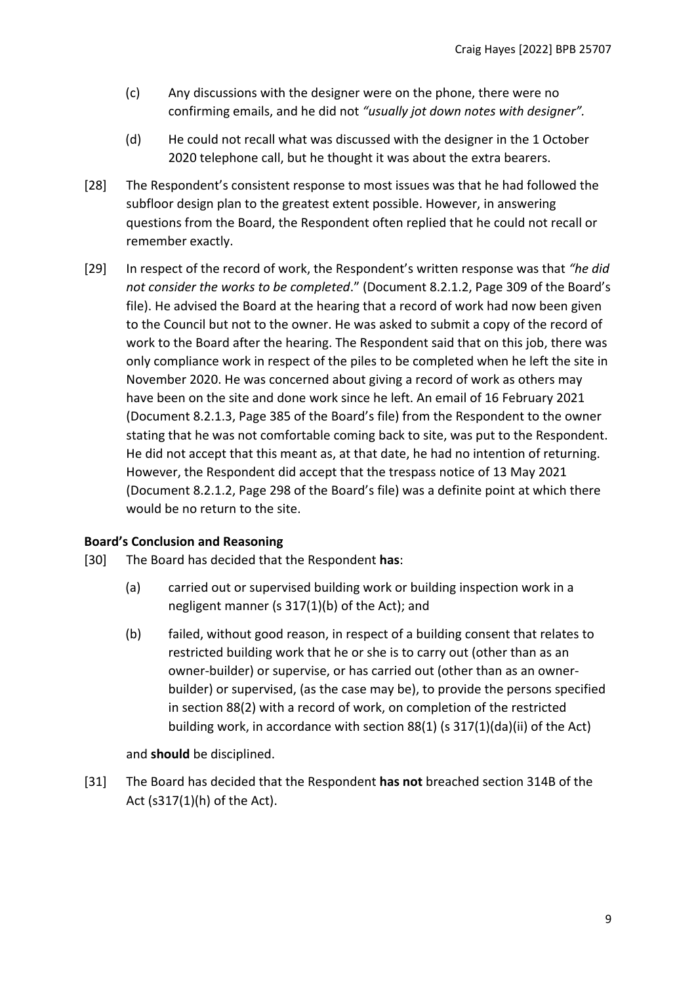- (c) Any discussions with the designer were on the phone, there were no confirming emails, and he did not *"usually jot down notes with designer".*
- (d) He could not recall what was discussed with the designer in the 1 October 2020 telephone call, but he thought it was about the extra bearers.
- [28] The Respondent's consistent response to most issues was that he had followed the subfloor design plan to the greatest extent possible. However, in answering questions from the Board, the Respondent often replied that he could not recall or remember exactly.
- [29] In respect of the record of work, the Respondent's written response was that *"he did not consider the works to be completed*." (Document 8.2.1.2, Page 309 of the Board's file). He advised the Board at the hearing that a record of work had now been given to the Council but not to the owner. He was asked to submit a copy of the record of work to the Board after the hearing. The Respondent said that on this job, there was only compliance work in respect of the piles to be completed when he left the site in November 2020. He was concerned about giving a record of work as others may have been on the site and done work since he left. An email of 16 February 2021 (Document 8.2.1.3, Page 385 of the Board's file) from the Respondent to the owner stating that he was not comfortable coming back to site, was put to the Respondent. He did not accept that this meant as, at that date, he had no intention of returning. However, the Respondent did accept that the trespass notice of 13 May 2021 (Document 8.2.1.2, Page 298 of the Board's file) was a definite point at which there would be no return to the site.

# <span id="page-8-0"></span>**Board's Conclusion and Reasoning**

- [30] The Board has decided that the Respondent **has**:
	- (a) carried out or supervised building work or building inspection work in a negligent manner (s 317(1)(b) of the Act); and
	- (b) failed, without good reason, in respect of a building consent that relates to restricted building work that he or she is to carry out (other than as an owner-builder) or supervise, or has carried out (other than as an ownerbuilder) or supervised, (as the case may be), to provide the persons specified in section 88(2) with a record of work, on completion of the restricted building work, in accordance with section 88(1) (s 317(1)(da)(ii) of the Act)

and **should** be disciplined.

[31] The Board has decided that the Respondent **has not** breached section 314B of the Act (s317(1)(h) of the Act).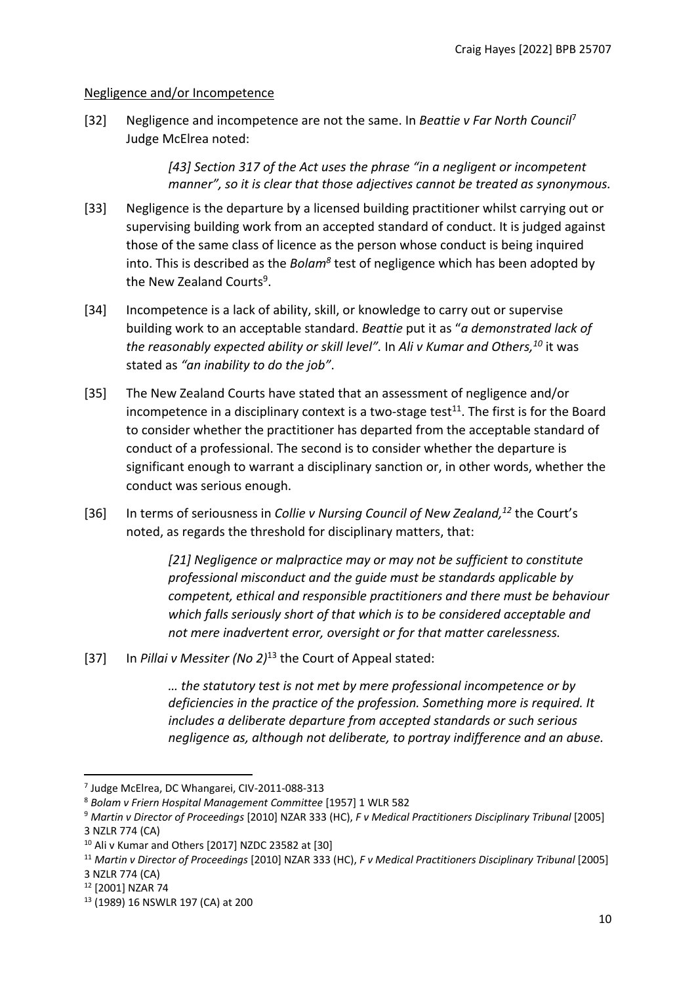# <span id="page-9-0"></span>Negligence and/or Incompetence

[32] Negligence and incompetence are not the same. In *Beattie v Far North Council*<sup>7</sup> Judge McElrea noted:

> *[43] Section 317 of the Act uses the phrase "in a negligent or incompetent manner", so it is clear that those adjectives cannot be treated as synonymous.*

- [33] Negligence is the departure by a licensed building practitioner whilst carrying out or supervising building work from an accepted standard of conduct. It is judged against those of the same class of licence as the person whose conduct is being inquired into. This is described as the *Bolam<sup>8</sup>* test of negligence which has been adopted by the New Zealand Courts<sup>9</sup>.
- [34] Incompetence is a lack of ability, skill, or knowledge to carry out or supervise building work to an acceptable standard. *Beattie* put it as "*a demonstrated lack of the reasonably expected ability or skill level".* In *Ali v Kumar and Others, <sup>10</sup>* it was stated as *"an inability to do the job"*.
- [35] The New Zealand Courts have stated that an assessment of negligence and/or incompetence in a disciplinary context is a two-stage test<sup>11</sup>. The first is for the Board to consider whether the practitioner has departed from the acceptable standard of conduct of a professional. The second is to consider whether the departure is significant enough to warrant a disciplinary sanction or, in other words, whether the conduct was serious enough.
- [36] In terms of seriousness in *Collie v Nursing Council of New Zealand, <sup>12</sup>* the Court's noted, as regards the threshold for disciplinary matters, that:

*[21] Negligence or malpractice may or may not be sufficient to constitute professional misconduct and the guide must be standards applicable by competent, ethical and responsible practitioners and there must be behaviour which falls seriously short of that which is to be considered acceptable and not mere inadvertent error, oversight or for that matter carelessness.*

[37] In *Pillai v Messiter (No 2)*<sup>13</sup> the Court of Appeal stated:

*… the statutory test is not met by mere professional incompetence or by deficiencies in the practice of the profession. Something more is required. It includes a deliberate departure from accepted standards or such serious negligence as, although not deliberate, to portray indifference and an abuse.*

<sup>7</sup> Judge McElrea, DC Whangarei, CIV-2011-088-313

<sup>8</sup> *Bolam v Friern Hospital Management Committee* [1957] 1 WLR 582

<sup>9</sup> *Martin v Director of Proceedings* [2010] NZAR 333 (HC), *F v Medical Practitioners Disciplinary Tribunal* [2005] 3 NZLR 774 (CA)

<sup>10</sup> Ali v Kumar and Others [2017] NZDC 23582 at [30]

<sup>11</sup> *Martin v Director of Proceedings* [2010] NZAR 333 (HC), *F v Medical Practitioners Disciplinary Tribunal* [2005] 3 NZLR 774 (CA)

<sup>12</sup> [2001] NZAR 74

<sup>13</sup> (1989) 16 NSWLR 197 (CA) at 200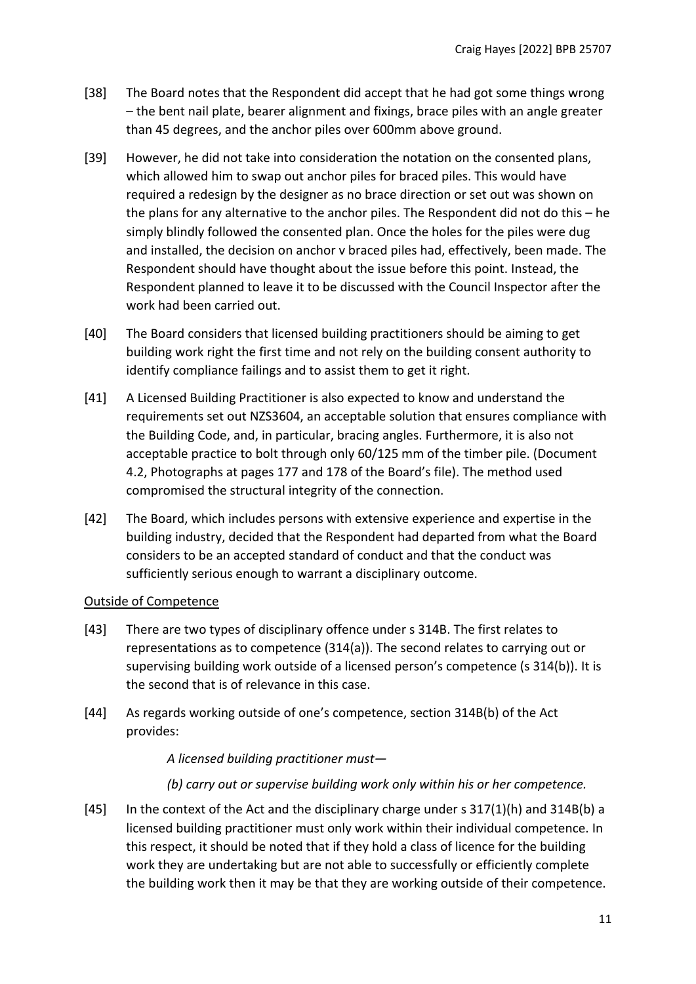- [38] The Board notes that the Respondent did accept that he had got some things wrong – the bent nail plate, bearer alignment and fixings, brace piles with an angle greater than 45 degrees, and the anchor piles over 600mm above ground.
- [39] However, he did not take into consideration the notation on the consented plans, which allowed him to swap out anchor piles for braced piles. This would have required a redesign by the designer as no brace direction or set out was shown on the plans for any alternative to the anchor piles. The Respondent did not do this – he simply blindly followed the consented plan. Once the holes for the piles were dug and installed, the decision on anchor v braced piles had, effectively, been made. The Respondent should have thought about the issue before this point. Instead, the Respondent planned to leave it to be discussed with the Council Inspector after the work had been carried out.
- [40] The Board considers that licensed building practitioners should be aiming to get building work right the first time and not rely on the building consent authority to identify compliance failings and to assist them to get it right.
- [41] A Licensed Building Practitioner is also expected to know and understand the requirements set out NZS3604, an acceptable solution that ensures compliance with the Building Code, and, in particular, bracing angles. Furthermore, it is also not acceptable practice to bolt through only 60/125 mm of the timber pile. (Document 4.2, Photographs at pages 177 and 178 of the Board's file). The method used compromised the structural integrity of the connection.
- [42] The Board, which includes persons with extensive experience and expertise in the building industry, decided that the Respondent had departed from what the Board considers to be an accepted standard of conduct and that the conduct was sufficiently serious enough to warrant a disciplinary outcome.

#### <span id="page-10-0"></span>Outside of Competence

- [43] There are two types of disciplinary offence under s 314B. The first relates to representations as to competence (314(a)). The second relates to carrying out or supervising building work outside of a licensed person's competence (s 314(b)). It is the second that is of relevance in this case.
- [44] As regards working outside of one's competence, section 314B(b) of the Act provides:

*A licensed building practitioner must—*

*(b) carry out or supervise building work only within his or her competence.*

[45] In the context of the Act and the disciplinary charge under s 317(1)(h) and 314B(b) a licensed building practitioner must only work within their individual competence. In this respect, it should be noted that if they hold a class of licence for the building work they are undertaking but are not able to successfully or efficiently complete the building work then it may be that they are working outside of their competence.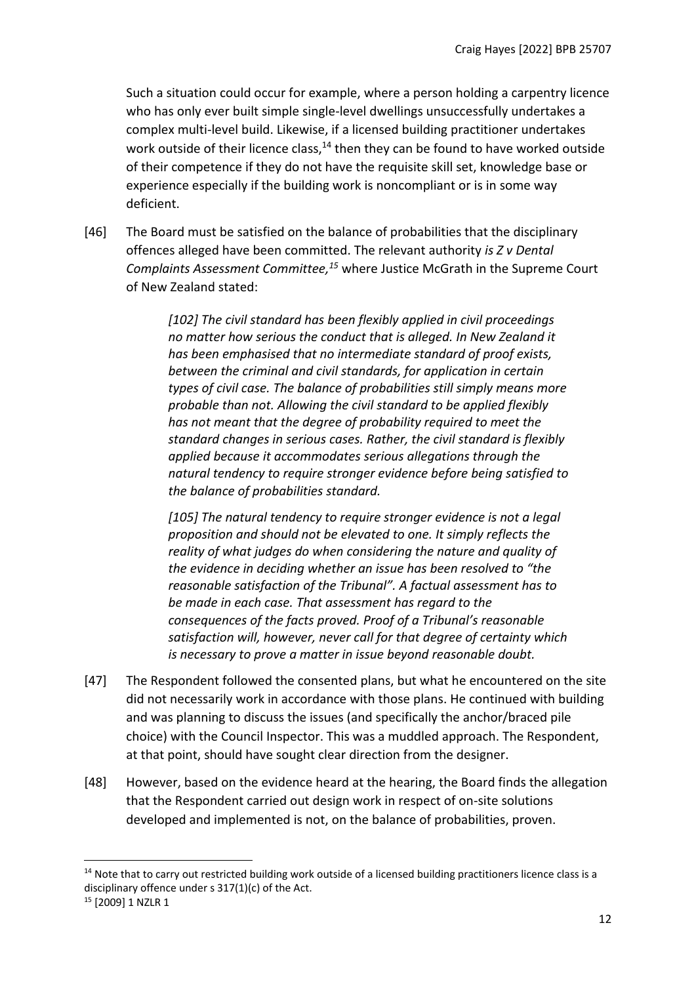Such a situation could occur for example, where a person holding a carpentry licence who has only ever built simple single-level dwellings unsuccessfully undertakes a complex multi-level build. Likewise, if a licensed building practitioner undertakes work outside of their licence class,<sup>14</sup> then they can be found to have worked outside of their competence if they do not have the requisite skill set, knowledge base or experience especially if the building work is noncompliant or is in some way deficient.

[46] The Board must be satisfied on the balance of probabilities that the disciplinary offences alleged have been committed. The relevant authority *is Z v Dental Complaints Assessment Committee, <sup>15</sup>* where Justice McGrath in the Supreme Court of New Zealand stated:

> *[102] The civil standard has been flexibly applied in civil proceedings no matter how serious the conduct that is alleged. In New Zealand it has been emphasised that no intermediate standard of proof exists, between the criminal and civil standards, for application in certain types of civil case. The balance of probabilities still simply means more probable than not. Allowing the civil standard to be applied flexibly has not meant that the degree of probability required to meet the standard changes in serious cases. Rather, the civil standard is flexibly applied because it accommodates serious allegations through the natural tendency to require stronger evidence before being satisfied to the balance of probabilities standard.*

> *[105] The natural tendency to require stronger evidence is not a legal proposition and should not be elevated to one. It simply reflects the reality of what judges do when considering the nature and quality of the evidence in deciding whether an issue has been resolved to "the reasonable satisfaction of the Tribunal". A factual assessment has to be made in each case. That assessment has regard to the consequences of the facts proved. Proof of a Tribunal's reasonable satisfaction will, however, never call for that degree of certainty which is necessary to prove a matter in issue beyond reasonable doubt.*

- [47] The Respondent followed the consented plans, but what he encountered on the site did not necessarily work in accordance with those plans. He continued with building and was planning to discuss the issues (and specifically the anchor/braced pile choice) with the Council Inspector. This was a muddled approach. The Respondent, at that point, should have sought clear direction from the designer.
- [48] However, based on the evidence heard at the hearing, the Board finds the allegation that the Respondent carried out design work in respect of on-site solutions developed and implemented is not, on the balance of probabilities, proven.

<sup>&</sup>lt;sup>14</sup> Note that to carry out restricted building work outside of a licensed building practitioners licence class is a disciplinary offence under s 317(1)(c) of the Act.

<sup>&</sup>lt;sup>15</sup> [2009] 1 NZLR 1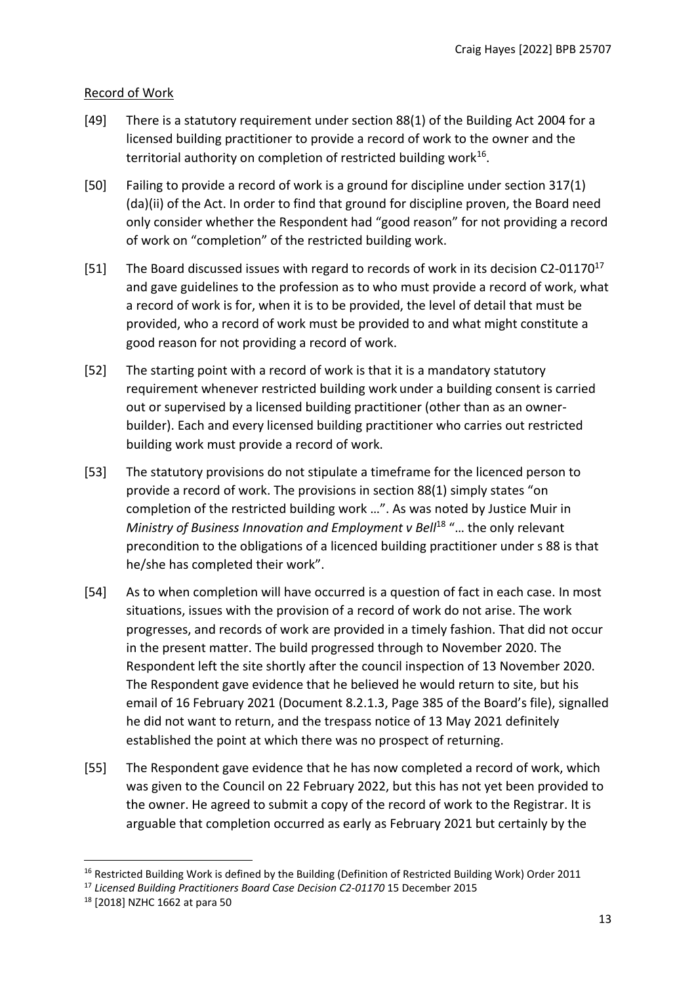# <span id="page-12-0"></span>Record of Work

- [49] There is a statutory requirement under section 88(1) of the Building Act 2004 for a licensed building practitioner to provide a record of work to the owner and the territorial authority on completion of restricted building work<sup>16</sup>.
- [50] Failing to provide a record of work is a ground for discipline under section 317(1) (da)(ii) of the Act. In order to find that ground for discipline proven, the Board need only consider whether the Respondent had "good reason" for not providing a record of work on "completion" of the restricted building work.
- [51] The Board discussed issues with regard to records of work in its decision C2-01170<sup>17</sup> and gave guidelines to the profession as to who must provide a record of work, what a record of work is for, when it is to be provided, the level of detail that must be provided, who a record of work must be provided to and what might constitute a good reason for not providing a record of work.
- [52] The starting point with a record of work is that it is a mandatory statutory requirement whenever restricted building work under a building consent is carried out or supervised by a licensed building practitioner (other than as an ownerbuilder). Each and every licensed building practitioner who carries out restricted building work must provide a record of work.
- [53] The statutory provisions do not stipulate a timeframe for the licenced person to provide a record of work. The provisions in section 88(1) simply states "on completion of the restricted building work …". As was noted by Justice Muir in *Ministry of Business Innovation and Employment v Bell<sup>18</sup> "... the only relevant* precondition to the obligations of a licenced building practitioner under s 88 is that he/she has completed their work".
- [54] As to when completion will have occurred is a question of fact in each case. In most situations, issues with the provision of a record of work do not arise. The work progresses, and records of work are provided in a timely fashion. That did not occur in the present matter. The build progressed through to November 2020. The Respondent left the site shortly after the council inspection of 13 November 2020. The Respondent gave evidence that he believed he would return to site, but his email of 16 February 2021 (Document 8.2.1.3, Page 385 of the Board's file), signalled he did not want to return, and the trespass notice of 13 May 2021 definitely established the point at which there was no prospect of returning.
- [55] The Respondent gave evidence that he has now completed a record of work, which was given to the Council on 22 February 2022, but this has not yet been provided to the owner. He agreed to submit a copy of the record of work to the Registrar. It is arguable that completion occurred as early as February 2021 but certainly by the

<sup>&</sup>lt;sup>16</sup> Restricted Building Work is defined by the Building (Definition of Restricted Building Work) Order 2011

<sup>&</sup>lt;sup>17</sup> Licensed Building Practitioners Board Case Decision C2-01170 15 December 2015

<sup>18</sup> [2018] NZHC 1662 at para 50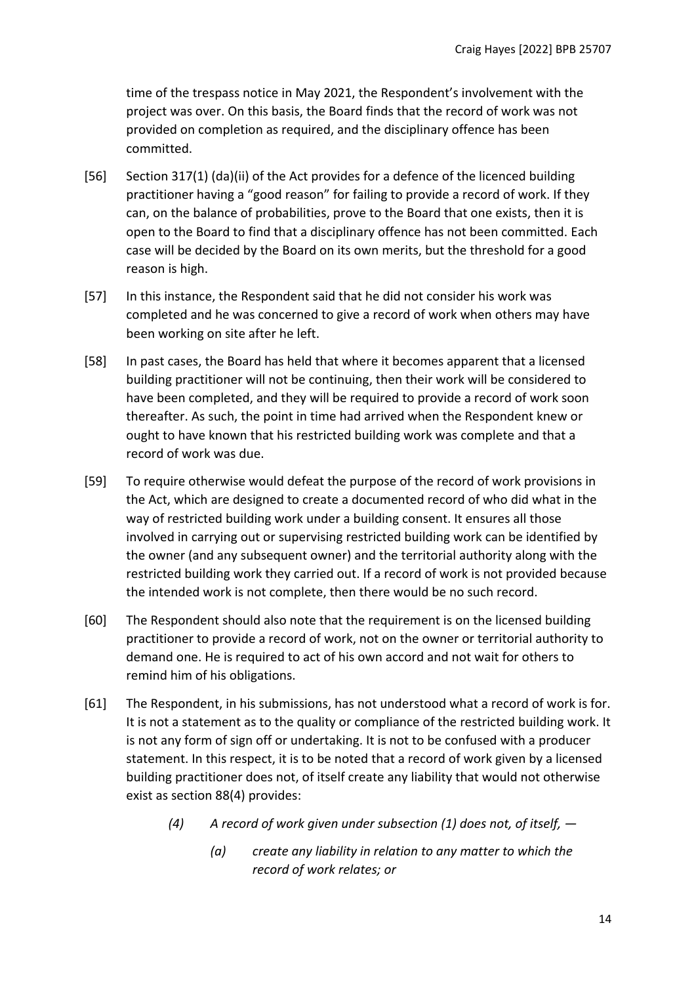time of the trespass notice in May 2021, the Respondent's involvement with the project was over. On this basis, the Board finds that the record of work was not provided on completion as required, and the disciplinary offence has been committed.

- [56] Section 317(1) (da)(ii) of the Act provides for a defence of the licenced building practitioner having a "good reason" for failing to provide a record of work. If they can, on the balance of probabilities, prove to the Board that one exists, then it is open to the Board to find that a disciplinary offence has not been committed. Each case will be decided by the Board on its own merits, but the threshold for a good reason is high.
- [57] In this instance, the Respondent said that he did not consider his work was completed and he was concerned to give a record of work when others may have been working on site after he left.
- [58] In past cases, the Board has held that where it becomes apparent that a licensed building practitioner will not be continuing, then their work will be considered to have been completed, and they will be required to provide a record of work soon thereafter. As such, the point in time had arrived when the Respondent knew or ought to have known that his restricted building work was complete and that a record of work was due.
- [59] To require otherwise would defeat the purpose of the record of work provisions in the Act, which are designed to create a documented record of who did what in the way of restricted building work under a building consent. It ensures all those involved in carrying out or supervising restricted building work can be identified by the owner (and any subsequent owner) and the territorial authority along with the restricted building work they carried out. If a record of work is not provided because the intended work is not complete, then there would be no such record.
- [60] The Respondent should also note that the requirement is on the licensed building practitioner to provide a record of work, not on the owner or territorial authority to demand one. He is required to act of his own accord and not wait for others to remind him of his obligations.
- [61] The Respondent, in his submissions, has not understood what a record of work is for. It is not a statement as to the quality or compliance of the restricted building work. It is not any form of sign off or undertaking. It is not to be confused with a producer statement. In this respect, it is to be noted that a record of work given by a licensed building practitioner does not, of itself create any liability that would not otherwise exist as section 88(4) provides:
	- *(4) A record of work given under subsection (1) does not, of itself, —*
		- *(a) create any liability in relation to any matter to which the record of work relates; or*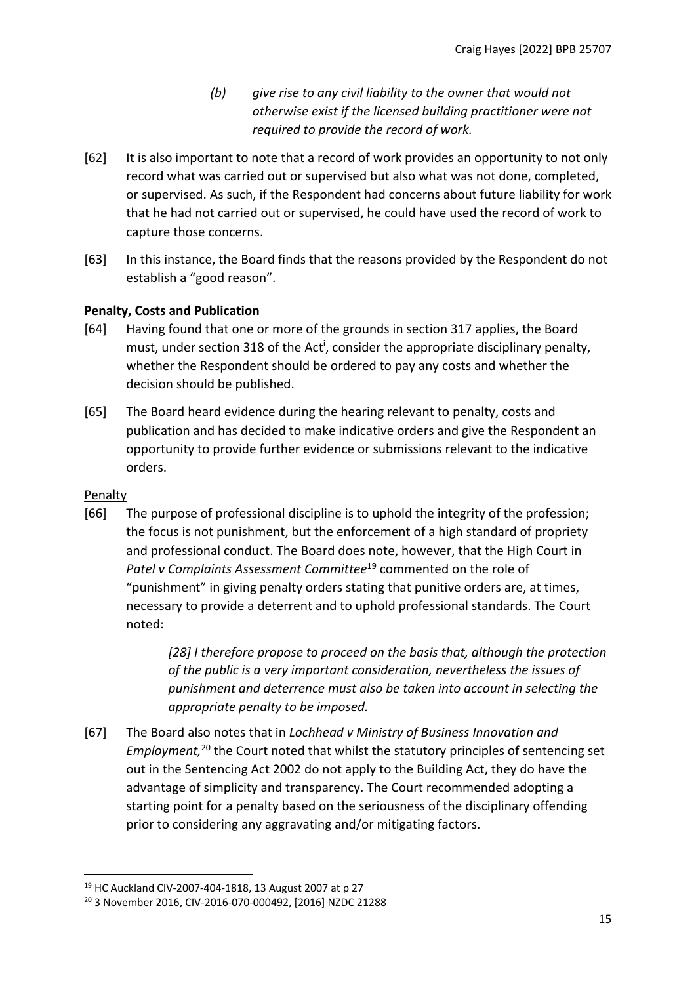- *(b) give rise to any civil liability to the owner that would not otherwise exist if the licensed building practitioner were not required to provide the record of work.*
- [62] It is also important to note that a record of work provides an opportunity to not only record what was carried out or supervised but also what was not done, completed, or supervised. As such, if the Respondent had concerns about future liability for work that he had not carried out or supervised, he could have used the record of work to capture those concerns.
- [63] In this instance, the Board finds that the reasons provided by the Respondent do not establish a "good reason".

# <span id="page-14-0"></span>**Penalty, Costs and Publication**

- [64] Having found that one or more of the grounds in section 317 applies, the Board must, under section 318 of the Act<sup>i</sup>, consider the appropriate disciplinary penalty, whether the Respondent should be ordered to pay any costs and whether the decision should be published.
- [65] The Board heard evidence during the hearing relevant to penalty, costs and publication and has decided to make indicative orders and give the Respondent an opportunity to provide further evidence or submissions relevant to the indicative orders.

# <span id="page-14-1"></span>Penalty

[66] The purpose of professional discipline is to uphold the integrity of the profession; the focus is not punishment, but the enforcement of a high standard of propriety and professional conduct. The Board does note, however, that the High Court in Patel v Complaints Assessment Committee<sup>19</sup> commented on the role of "punishment" in giving penalty orders stating that punitive orders are, at times, necessary to provide a deterrent and to uphold professional standards. The Court noted:

> *[28] I therefore propose to proceed on the basis that, although the protection of the public is a very important consideration, nevertheless the issues of punishment and deterrence must also be taken into account in selecting the appropriate penalty to be imposed.*

[67] The Board also notes that in *Lochhead v Ministry of Business Innovation and Employment,*<sup>20</sup> the Court noted that whilst the statutory principles of sentencing set out in the Sentencing Act 2002 do not apply to the Building Act, they do have the advantage of simplicity and transparency. The Court recommended adopting a starting point for a penalty based on the seriousness of the disciplinary offending prior to considering any aggravating and/or mitigating factors.

<sup>19</sup> HC Auckland CIV-2007-404-1818, 13 August 2007 at p 27

<sup>20</sup> 3 November 2016, CIV-2016-070-000492, [2016] NZDC 21288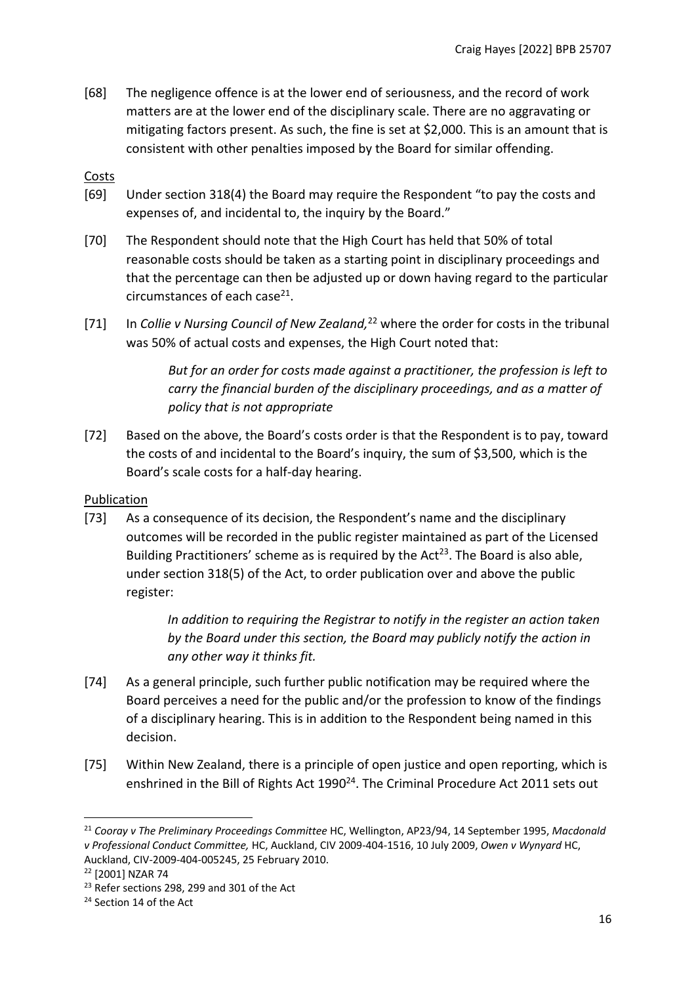[68] The negligence offence is at the lower end of seriousness, and the record of work matters are at the lower end of the disciplinary scale. There are no aggravating or mitigating factors present. As such, the fine is set at \$2,000. This is an amount that is consistent with other penalties imposed by the Board for similar offending.

# <span id="page-15-0"></span>Costs

- [69] Under section 318(4) the Board may require the Respondent "to pay the costs and expenses of, and incidental to, the inquiry by the Board."
- [70] The Respondent should note that the High Court has held that 50% of total reasonable costs should be taken as a starting point in disciplinary proceedings and that the percentage can then be adjusted up or down having regard to the particular circumstances of each case<sup>21</sup>.
- [71] In *Collie v Nursing Council of New Zealand,*<sup>22</sup> where the order for costs in the tribunal was 50% of actual costs and expenses, the High Court noted that:

*But for an order for costs made against a practitioner, the profession is left to carry the financial burden of the disciplinary proceedings, and as a matter of policy that is not appropriate*

[72] Based on the above, the Board's costs order is that the Respondent is to pay, toward the costs of and incidental to the Board's inquiry, the sum of \$3,500, which is the Board's scale costs for a half-day hearing.

# <span id="page-15-1"></span>**Publication**

[73] As a consequence of its decision, the Respondent's name and the disciplinary outcomes will be recorded in the public register maintained as part of the Licensed Building Practitioners' scheme as is required by the Act<sup>23</sup>. The Board is also able, under section 318(5) of the Act, to order publication over and above the public register:

> *In addition to requiring the Registrar to notify in the register an action taken by the Board under this section, the Board may publicly notify the action in any other way it thinks fit.*

- [74] As a general principle, such further public notification may be required where the Board perceives a need for the public and/or the profession to know of the findings of a disciplinary hearing. This is in addition to the Respondent being named in this decision.
- [75] Within New Zealand, there is a principle of open justice and open reporting, which is enshrined in the Bill of Rights Act 1990<sup>24</sup>. The Criminal Procedure Act 2011 sets out

<sup>21</sup> *Cooray v The Preliminary Proceedings Committee* HC, Wellington, AP23/94, 14 September 1995, *Macdonald v Professional Conduct Committee,* HC, Auckland, CIV 2009-404-1516, 10 July 2009, *Owen v Wynyard* HC, Auckland, CIV-2009-404-005245, 25 February 2010.

<sup>22</sup> [2001] NZAR 74

<sup>&</sup>lt;sup>23</sup> Refer sections 298, 299 and 301 of the Act

<sup>&</sup>lt;sup>24</sup> Section 14 of the Act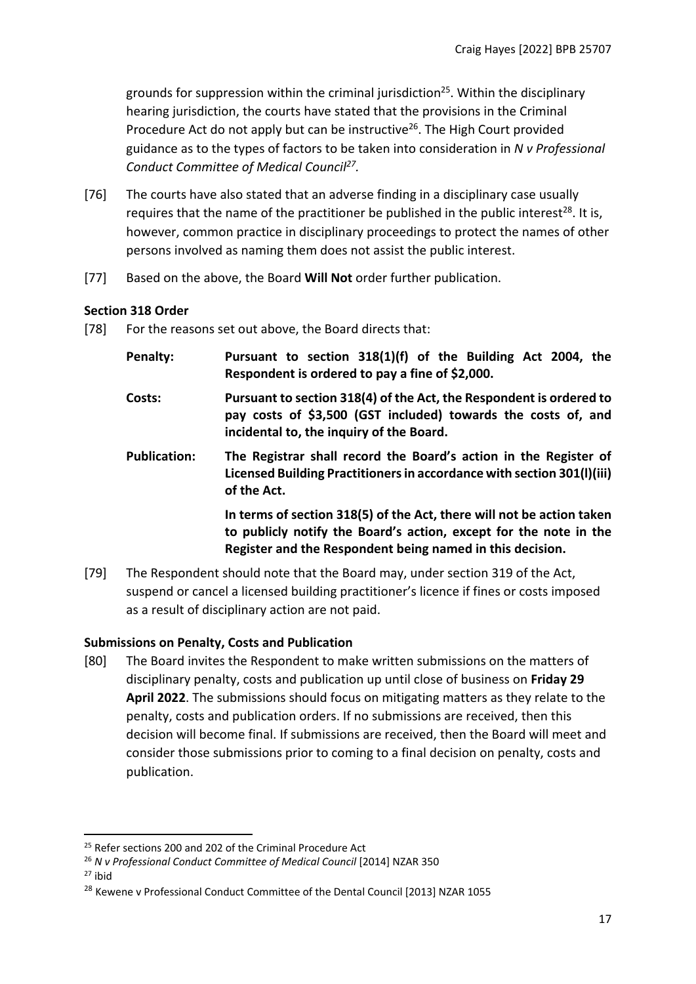grounds for suppression within the criminal jurisdiction<sup>25</sup>. Within the disciplinary hearing jurisdiction, the courts have stated that the provisions in the Criminal Procedure Act do not apply but can be instructive<sup>26</sup>. The High Court provided guidance as to the types of factors to be taken into consideration in *N v Professional Conduct Committee of Medical Council<sup>27</sup> .* 

- [76] The courts have also stated that an adverse finding in a disciplinary case usually requires that the name of the practitioner be published in the public interest<sup>28</sup>. It is, however, common practice in disciplinary proceedings to protect the names of other persons involved as naming them does not assist the public interest.
- [77] Based on the above, the Board **Will Not** order further publication.

#### <span id="page-16-0"></span>**Section 318 Order**

- [78] For the reasons set out above, the Board directs that:
	- **Penalty: Pursuant to section 318(1)(f) of the Building Act 2004, the Respondent is ordered to pay a fine of \$2,000.**
	- **Costs: Pursuant to section 318(4) of the Act, the Respondent is ordered to pay costs of \$3,500 (GST included) towards the costs of, and incidental to, the inquiry of the Board.**
	- **Publication: The Registrar shall record the Board's action in the Register of Licensed Building Practitioners in accordance with section 301(l)(iii) of the Act.**

**In terms of section 318(5) of the Act, there will not be action taken to publicly notify the Board's action, except for the note in the Register and the Respondent being named in this decision.**

[79] The Respondent should note that the Board may, under section 319 of the Act, suspend or cancel a licensed building practitioner's licence if fines or costs imposed as a result of disciplinary action are not paid.

# <span id="page-16-1"></span>**Submissions on Penalty, Costs and Publication**

[80] The Board invites the Respondent to make written submissions on the matters of disciplinary penalty, costs and publication up until close of business on **Friday 29 April 2022**. The submissions should focus on mitigating matters as they relate to the penalty, costs and publication orders. If no submissions are received, then this decision will become final. If submissions are received, then the Board will meet and consider those submissions prior to coming to a final decision on penalty, costs and publication.

 $27$  ibid

<sup>&</sup>lt;sup>25</sup> Refer sections 200 and 202 of the Criminal Procedure Act

<sup>26</sup> *N v Professional Conduct Committee of Medical Council* [2014] NZAR 350

<sup>&</sup>lt;sup>28</sup> Kewene v Professional Conduct Committee of the Dental Council [2013] NZAR 1055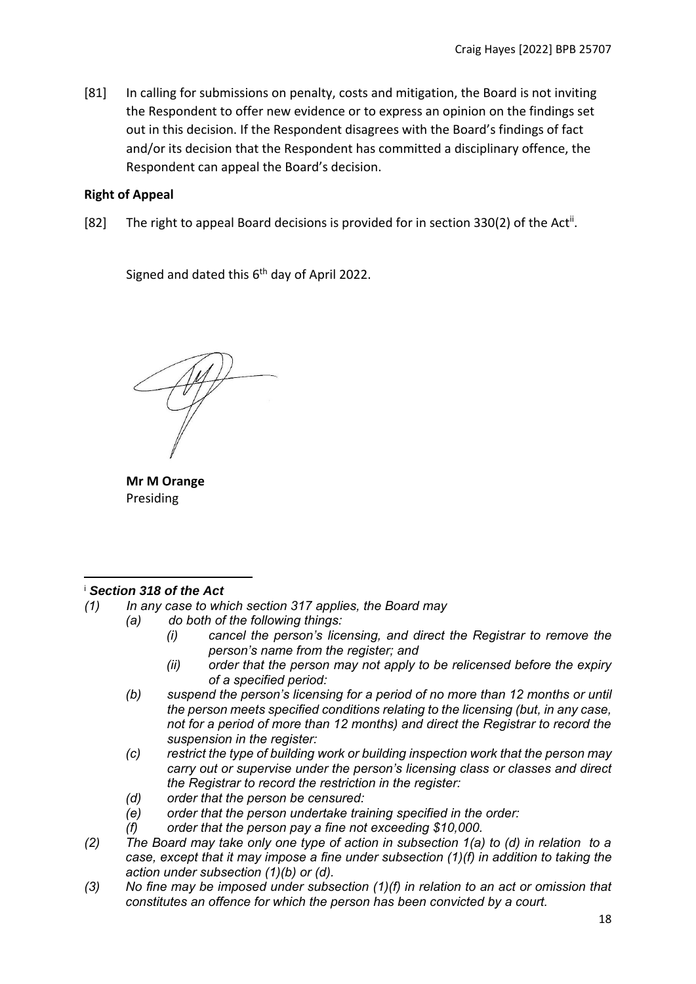[81] In calling for submissions on penalty, costs and mitigation, the Board is not inviting the Respondent to offer new evidence or to express an opinion on the findings set out in this decision. If the Respondent disagrees with the Board's findings of fact and/or its decision that the Respondent has committed a disciplinary offence, the Respondent can appeal the Board's decision.

### **Right of Appeal**

[82] The right to appeal Board decisions is provided for in section 330(2) of the Act<sup>ii</sup>.

Signed and dated this 6<sup>th</sup> day of April 2022.

**Mr M Orange** Presiding

#### <sup>i</sup> *Section 318 of the Act*

- *(1) In any case to which section 317 applies, the Board may*
	- *(a) do both of the following things:*
		- *(i) cancel the person's licensing, and direct the Registrar to remove the person's name from the register; and*
		- *(ii) order that the person may not apply to be relicensed before the expiry of a specified period:*
		- *(b) suspend the person's licensing for a period of no more than 12 months or until the person meets specified conditions relating to the licensing (but, in any case, not for a period of more than 12 months) and direct the Registrar to record the suspension in the register:*
		- *(c) restrict the type of building work or building inspection work that the person may carry out or supervise under the person's licensing class or classes and direct the Registrar to record the restriction in the register:*
		- *(d) order that the person be censured:*
		- *(e) order that the person undertake training specified in the order:*
		- *(f) order that the person pay a fine not exceeding \$10,000.*
- *(2) The Board may take only one type of action in subsection 1(a) to (d) in relation to a case, except that it may impose a fine under subsection (1)(f) in addition to taking the action under subsection (1)(b) or (d).*
- *(3) No fine may be imposed under subsection (1)(f) in relation to an act or omission that constitutes an offence for which the person has been convicted by a court.*